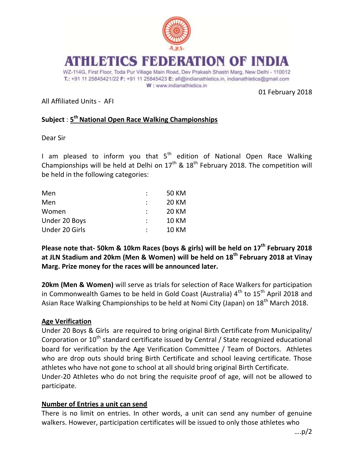

# S FEDERATION OF

WZ-114G, First Floor, Toda Pur Village Main Road, Dev Prakash Shastri Marg, New Delhi - 110012 T.: +91 11 25845421/22 F: +91 11 25845423 E: afi@indianathletics.in, indianathletics@gmail.com W: www.indianathletics.in

01 February 2018

All Affiliated Units - AFI

## **Subject** : **5 th National Open Race Walking Championships**

Dear Sir

I am pleased to inform you that  $5<sup>th</sup>$  edition of National Open Race Walking Championships will be held at Delhi on  $17<sup>th</sup>$  &  $18<sup>th</sup>$  February 2018. The competition will be held in the following categories:

| Men            |   | 50 KM        |
|----------------|---|--------------|
| Men            |   | <b>20 KM</b> |
| Women          | ÷ | <b>20 KM</b> |
| Under 20 Boys  |   | <b>10 KM</b> |
| Under 20 Girls |   | <b>10 KM</b> |

**Please note that- 50km & 10km Races (boys & girls) will be held on 17th February 2018 at JLN Stadium and 20km (Men & Women) will be held on 18th February 2018 at Vinay Marg. Prize money for the races will be announced later.**

**20km (Men & Women)** will serve as trials for selection of Race Walkers for participation in Commonwealth Games to be held in Gold Coast (Australia)  $4<sup>th</sup>$  to  $15<sup>th</sup>$  April 2018 and Asian Race Walking Championships to be held at Nomi City (Japan) on 18<sup>th</sup> March 2018.

#### **Age Verification**

Under 20 Boys & Girls are required to bring original Birth Certificate from Municipality/ Corporation or  $10^{th}$  standard certificate issued by Central / State recognized educational board for verification by the Age Verification Committee / Team of Doctors. Athletes who are drop outs should bring Birth Certificate and school leaving certificate. Those athletes who have not gone to school at all should bring original Birth Certificate. Under-20 Athletes who do not bring the requisite proof of age, will not be allowed to participate.

#### **Number of Entries a unit can send**

There is no limit on entries. In other words, a unit can send any number of genuine walkers. However, participation certificates will be issued to only those athletes who